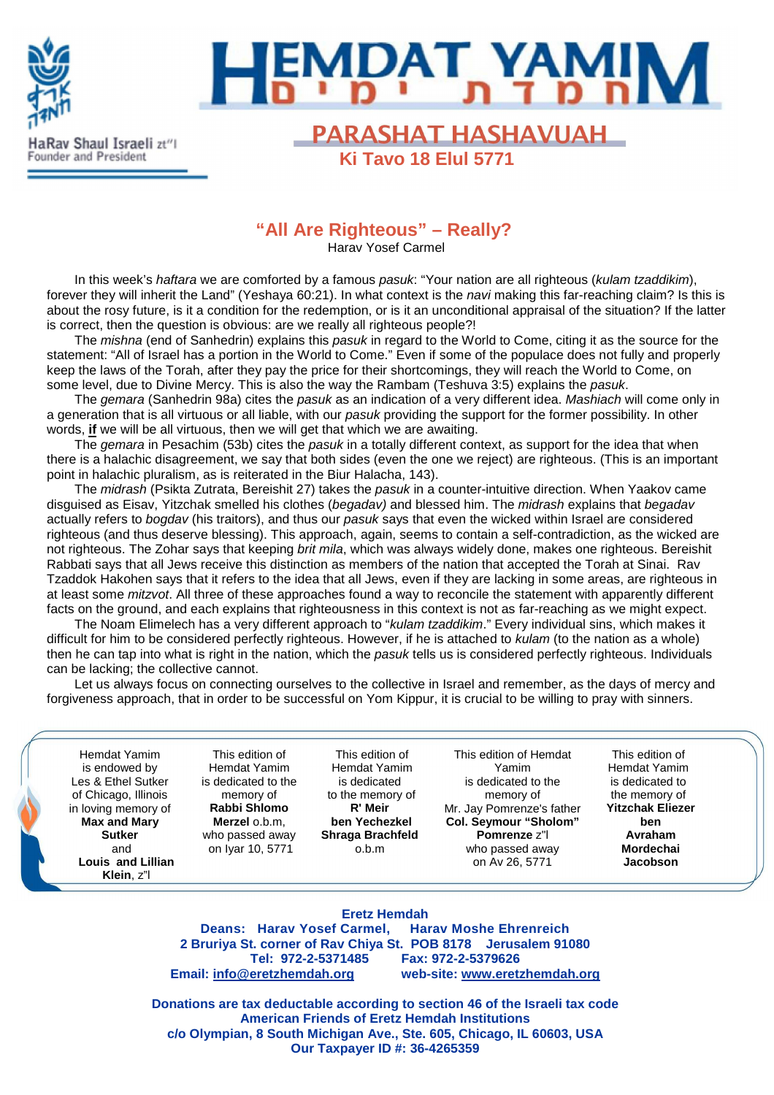

# **EMDAT YAMI**

**PARASHAT HASHAVUAH** 

 **Ki Tavo 18 Elul 5771**

**"All Are Righteous" – Really?** 

Harav Yosef Carmel

In this week's haftara we are comforted by a famous pasuk: "Your nation are all righteous (kulam tzaddikim), forever they will inherit the Land" (Yeshaya 60:21). In what context is the *navi* making this far-reaching claim? Is this is about the rosy future, is it a condition for the redemption, or is it an unconditional appraisal of the situation? If the latter is correct, then the question is obvious: are we really all righteous people?!

The *mishna* (end of Sanhedrin) explains this *pasuk* in regard to the World to Come, citing it as the source for the statement: "All of Israel has a portion in the World to Come." Even if some of the populace does not fully and properly keep the laws of the Torah, after they pay the price for their shortcomings, they will reach the World to Come, on some level, due to Divine Mercy. This is also the way the Rambam (Teshuva 3:5) explains the pasuk.

The gemara (Sanhedrin 98a) cites the pasuk as an indication of a very different idea. Mashiach will come only in a generation that is all virtuous or all liable, with our pasuk providing the support for the former possibility. In other words, **if** we will be all virtuous, then we will get that which we are awaiting.

The *gemara* in Pesachim (53b) cites the *pasuk* in a totally different context, as support for the idea that when there is a halachic disagreement, we say that both sides (even the one we reject) are righteous. (This is an important point in halachic pluralism, as is reiterated in the Biur Halacha, 143).

The *midrash* (Psikta Zutrata, Bereishit 27) takes the *pasuk* in a counter-intuitive direction. When Yaakov came disguised as Eisav, Yitzchak smelled his clothes (begadav) and blessed him. The midrash explains that begadav actually refers to bogdav (his traitors), and thus our pasuk says that even the wicked within Israel are considered righteous (and thus deserve blessing). This approach, again, seems to contain a self-contradiction, as the wicked are not righteous. The Zohar says that keeping brit mila, which was always widely done, makes one righteous. Bereishit Rabbati says that all Jews receive this distinction as members of the nation that accepted the Torah at Sinai. Rav Tzaddok Hakohen says that it refers to the idea that all Jews, even if they are lacking in some areas, are righteous in at least some *mitzvot*. All three of these approaches found a way to reconcile the statement with apparently different facts on the ground, and each explains that righteousness in this context is not as far-reaching as we might expect.

The Noam Elimelech has a very different approach to "kulam tzaddikim." Every individual sins, which makes it difficult for him to be considered perfectly righteous. However, if he is attached to *kulam* (to the nation as a whole) then he can tap into what is right in the nation, which the pasuk tells us is considered perfectly righteous. Individuals can be lacking; the collective cannot.

Let us always focus on connecting ourselves to the collective in Israel and remember, as the days of mercy and forgiveness approach, that in order to be successful on Yom Kippur, it is crucial to be willing to pray with sinners.

Hemdat Yamim is endowed by Les & Ethel Sutker of Chicago, Illinois in loving memory of **Max and Mary Sutker** and **Louis and Lillian Klein**, z"l

This edition of Hemdat Yamim is dedicated to the memory of **Rabbi Shlomo Merzel** o.b.m, who passed away on Iyar 10, 5771

This edition of Hemdat Yamim is dedicated to the memory of **R' Meir ben Yechezkel Shraga Brachfeld** o.b.m

This edition of Hemdat Yamim is dedicated to the memory of Mr. Jay Pomrenze's father **Col. Seymour "Sholom" Pomrenze** z"l who passed away on Av 26, 5771

This edition of Hemdat Yamim is dedicated to the memory of **Yitzchak Eliezer ben Avraham Mordechai Jacobson**

#### **Eretz Hemdah**

**Deans: Harav Yosef Carmel, Harav Moshe Ehrenreich 2 Bruriya St. corner of Rav Chiya St. POB 8178 Jerusalem 91080 Tel: 972-2-5371485 Fax: 972-2-5379626 Email: info@eretzhemdah.org web-site: www.eretzhemdah.org**

**Donations are tax deductable according to section 46 of the Israeli tax code American Friends of Eretz Hemdah Institutions c/o Olympian, 8 South Michigan Ave., Ste. 605, Chicago, IL 60603, USA Our Taxpayer ID #: 36-4265359**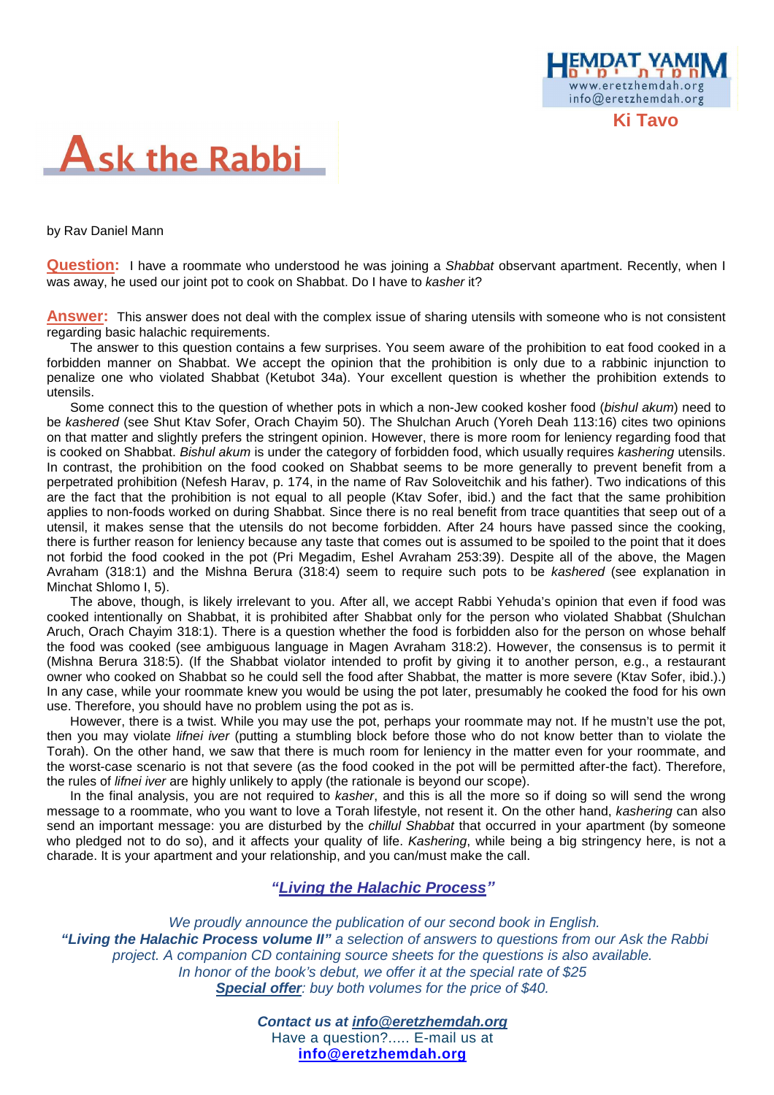

by Rav Daniel Mann

**Question:** I have a roommate who understood he was joining a *Shabbat* observant apartment. Recently, when I was away, he used our joint pot to cook on Shabbat. Do I have to kasher it?

www.eretzhemdah.org info@eretzhemdah.org

**Answer:** This answer does not deal with the complex issue of sharing utensils with someone who is not consistent regarding basic halachic requirements.

The answer to this question contains a few surprises. You seem aware of the prohibition to eat food cooked in a forbidden manner on Shabbat. We accept the opinion that the prohibition is only due to a rabbinic injunction to penalize one who violated Shabbat (Ketubot 34a). Your excellent question is whether the prohibition extends to utensils.

Some connect this to the question of whether pots in which a non-Jew cooked kosher food (bishul akum) need to be kashered (see Shut Ktav Sofer, Orach Chayim 50). The Shulchan Aruch (Yoreh Deah 113:16) cites two opinions on that matter and slightly prefers the stringent opinion. However, there is more room for leniency regarding food that is cooked on Shabbat. Bishul akum is under the category of forbidden food, which usually requires kashering utensils. In contrast, the prohibition on the food cooked on Shabbat seems to be more generally to prevent benefit from a perpetrated prohibition (Nefesh Harav, p. 174, in the name of Rav Soloveitchik and his father). Two indications of this are the fact that the prohibition is not equal to all people (Ktav Sofer, ibid.) and the fact that the same prohibition applies to non-foods worked on during Shabbat. Since there is no real benefit from trace quantities that seep out of a utensil, it makes sense that the utensils do not become forbidden. After 24 hours have passed since the cooking, there is further reason for leniency because any taste that comes out is assumed to be spoiled to the point that it does not forbid the food cooked in the pot (Pri Megadim, Eshel Avraham 253:39). Despite all of the above, the Magen Avraham (318:1) and the Mishna Berura (318:4) seem to require such pots to be kashered (see explanation in Minchat Shlomo I, 5).

The above, though, is likely irrelevant to you. After all, we accept Rabbi Yehuda's opinion that even if food was cooked intentionally on Shabbat, it is prohibited after Shabbat only for the person who violated Shabbat (Shulchan Aruch, Orach Chayim 318:1). There is a question whether the food is forbidden also for the person on whose behalf the food was cooked (see ambiguous language in Magen Avraham 318:2). However, the consensus is to permit it (Mishna Berura 318:5). (If the Shabbat violator intended to profit by giving it to another person, e.g., a restaurant owner who cooked on Shabbat so he could sell the food after Shabbat, the matter is more severe (Ktav Sofer, ibid.).) In any case, while your roommate knew you would be using the pot later, presumably he cooked the food for his own use. Therefore, you should have no problem using the pot as is.

However, there is a twist. While you may use the pot, perhaps your roommate may not. If he mustn't use the pot, then you may violate lifnei iver (putting a stumbling block before those who do not know better than to violate the Torah). On the other hand, we saw that there is much room for leniency in the matter even for your roommate, and the worst-case scenario is not that severe (as the food cooked in the pot will be permitted after-the fact). Therefore, the rules of lifnei iver are highly unlikely to apply (the rationale is beyond our scope).

In the final analysis, you are not required to kasher, and this is all the more so if doing so will send the wrong message to a roommate, who you want to love a Torah lifestyle, not resent it. On the other hand, kashering can also send an important message: you are disturbed by the *chillul Shabbat* that occurred in your apartment (by someone who pledged not to do so), and it affects your quality of life. Kashering, while being a big stringency here, is not a charade. It is your apartment and your relationship, and you can/must make the call.

#### **"Living the Halachic Process***"*

We proudly announce the publication of our second book in English.  **"Living the Halachic Process volume II"** a selection of answers to questions from our Ask the Rabbi project. A companion CD containing source sheets for the questions is also available. In honor of the book's debut, we offer it at the special rate of \$25 **Special offer**: buy both volumes for the price of \$40.

> **Contact us at info@eretzhemdah.org** Have a question?..... E-mail us at **info@eretzhemdah.org**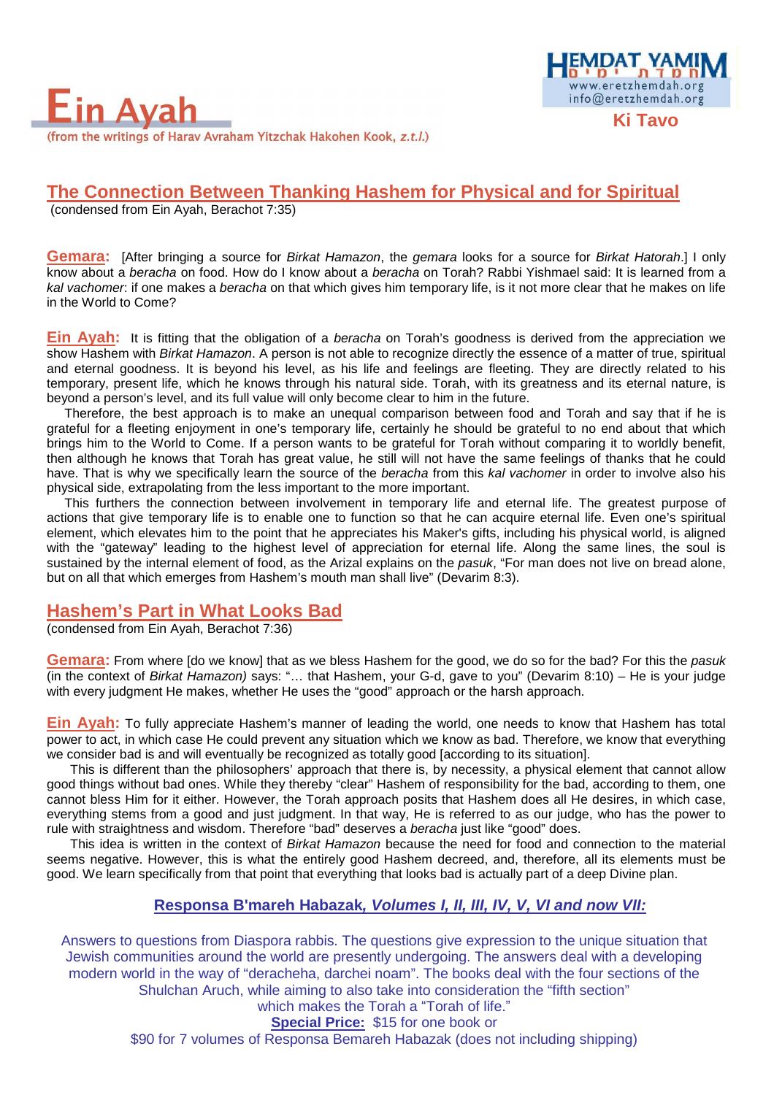

# **The Connection Between Thanking Hashem for Physical and for Spiritual**

(condensed from Ein Ayah, Berachot 7:35)

**Gemara:** [After bringing a source for Birkat Hamazon, the gemara looks for a source for Birkat Hatorah.] I only know about a beracha on food. How do I know about a beracha on Torah? Rabbi Yishmael said: It is learned from a kal vachomer: if one makes a beracha on that which gives him temporary life, is it not more clear that he makes on life in the World to Come?

<u> MDAT YA</u> www.eretzhemdah.org

info@eretzhemdah.org

**Ein Ayah:** It is fitting that the obligation of a beracha on Torah's goodness is derived from the appreciation we show Hashem with Birkat Hamazon. A person is not able to recognize directly the essence of a matter of true, spiritual and eternal goodness. It is beyond his level, as his life and feelings are fleeting. They are directly related to his temporary, present life, which he knows through his natural side. Torah, with its greatness and its eternal nature, is beyond a person's level, and its full value will only become clear to him in the future.

Therefore, the best approach is to make an unequal comparison between food and Torah and say that if he is grateful for a fleeting enjoyment in one's temporary life, certainly he should be grateful to no end about that which brings him to the World to Come. If a person wants to be grateful for Torah without comparing it to worldly benefit, then although he knows that Torah has great value, he still will not have the same feelings of thanks that he could have. That is why we specifically learn the source of the beracha from this kal vachomer in order to involve also his physical side, extrapolating from the less important to the more important.

This furthers the connection between involvement in temporary life and eternal life. The greatest purpose of actions that give temporary life is to enable one to function so that he can acquire eternal life. Even one's spiritual element, which elevates him to the point that he appreciates his Maker's gifts, including his physical world, is aligned with the "gateway" leading to the highest level of appreciation for eternal life. Along the same lines, the soul is sustained by the internal element of food, as the Arizal explains on the pasuk, "For man does not live on bread alone, but on all that which emerges from Hashem's mouth man shall live" (Devarim 8:3).

### **Hashem's Part in What Looks Bad**

(condensed from Ein Ayah, Berachot 7:36)

**Gemara:** From where [do we know] that as we bless Hashem for the good, we do so for the bad? For this the pasuk (in the context of Birkat Hamazon) says: "… that Hashem, your G-d, gave to you" (Devarim 8:10) – He is your judge with every judgment He makes, whether He uses the "good" approach or the harsh approach.

**Ein Ayah:** To fully appreciate Hashem's manner of leading the world, one needs to know that Hashem has total power to act, in which case He could prevent any situation which we know as bad. Therefore, we know that everything we consider bad is and will eventually be recognized as totally good [according to its situation].

This is different than the philosophers' approach that there is, by necessity, a physical element that cannot allow good things without bad ones. While they thereby "clear" Hashem of responsibility for the bad, according to them, one cannot bless Him for it either. However, the Torah approach posits that Hashem does all He desires, in which case, everything stems from a good and just judgment. In that way, He is referred to as our judge, who has the power to rule with straightness and wisdom. Therefore "bad" deserves a beracha just like "good" does.

This idea is written in the context of Birkat Hamazon because the need for food and connection to the material seems negative. However, this is what the entirely good Hashem decreed, and, therefore, all its elements must be good. We learn specifically from that point that everything that looks bad is actually part of a deep Divine plan.

### **Responsa B'mareh Habazak, Volumes I, II, III, IV, V, VI and now VII:**

Answers to questions from Diaspora rabbis. The questions give expression to the unique situation that Jewish communities around the world are presently undergoing. The answers deal with a developing modern world in the way of "deracheha, darchei noam". The books deal with the four sections of the Shulchan Aruch, while aiming to also take into consideration the "fifth section"

which makes the Torah a "Torah of life."

#### **Special Price:** \$15 for one book or

\$90 for 7 volumes of Responsa Bemareh Habazak (does not including shipping)